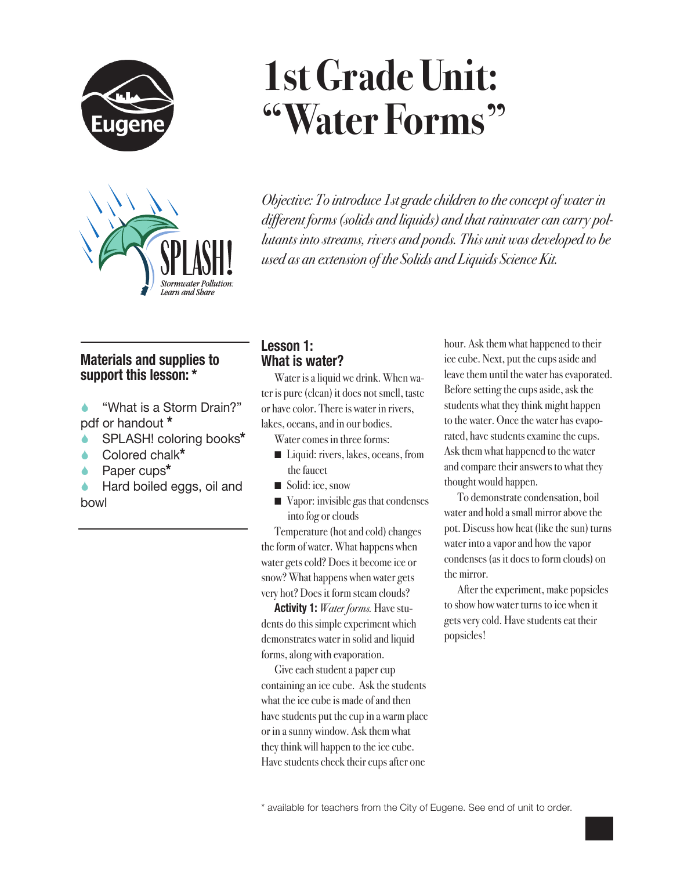



# **1st Grade Unit: "Water Forms"**

*Objective: To introduce 1st grade children to the concept of water in different forms (solids and liquids) and that rainwater can carry pollutants into streams, rivers and ponds. This unit was developed to be used as an extension of the Solids and Liquids Science Kit.*

# **Materials and supplies to support this lesson: \***

- "What is a Storm Drain?" pdf or handout **\***
- SPLASH! coloring books**\***
- Colored chalk**\***
- Paper cups**\***
- Hard boiled eggs, oil and bowl

## **Lesson 1: What is water?**

Water is a liquid we drink. When water is pure (clean) it does not smell, taste or have color. There is water in rivers, lakes, oceans, and in our bodies.

Water comes in three forms:

- Liquid: rivers, lakes, oceans, from the faucet
- Solid: ice, snow
- $\blacksquare$  Vapor: invisible gas that condenses into fog or clouds

Temperature (hot and cold) changes the form of water. What happens when water gets cold? Does it become ice or snow? What happens when water gets very hot? Does it form steam clouds?

**Activity 1:** *Water forms.* Have students do this simple experiment which demonstrates water in solid and liquid forms, along with evaporation.

Give each student a paper cup containing an ice cube. Ask the students what the ice cube is made of and then have students put the cup in a warm place or in a sunny window. Ask them what they think will happen to the ice cube. Have students check their cups after one

hour. Ask them what happened to their ice cube. Next, put the cups aside and leave them until the water has evaporated. Before setting the cups aside, ask the students what they think might happen to the water. Once the water has evaporated, have students examine the cups. Ask them what happened to the water and compare their answers to what they thought would happen.

To demonstrate condensation, boil water and hold a small mirror above the pot. Discuss how heat (like the sun) turns water into a vapor and how the vapor condenses (as it does to form clouds) on the mirror.

After the experiment, make popsicles to show how water turns to ice when it gets very cold. Have students eat their popsicles!

\* available for teachers from the City of Eugene. See end of unit to order.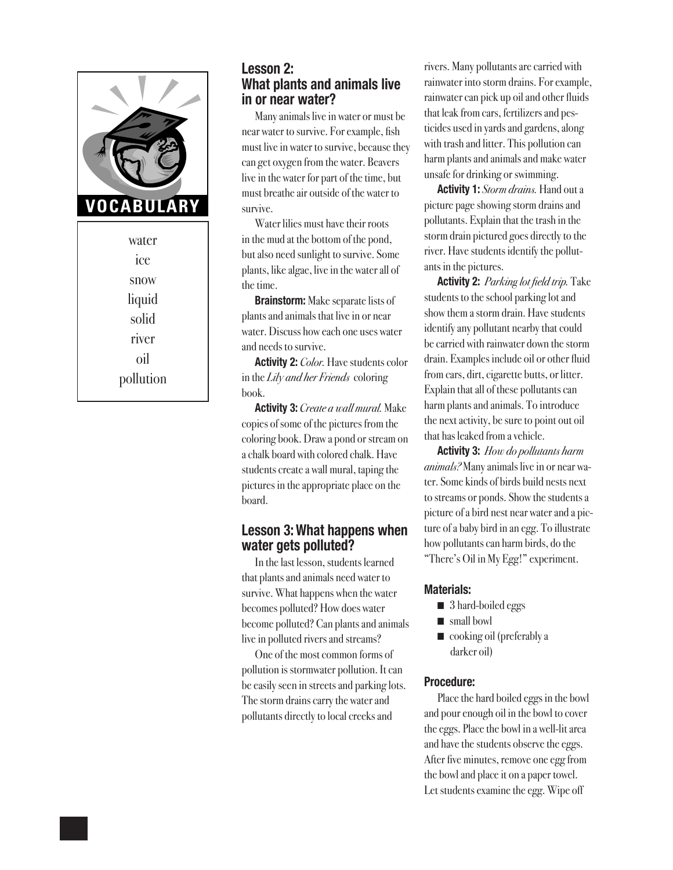

water ice snow liquid solid river oil pollution

## **Lesson 2: What plants and animals live in or near water?**

Many animals live in water or must be near water to survive. For example, fish must live in water to survive, because they can get oxygen from the water. Beavers live in the water for part of the time, but must breathe air outside of the water to survive.

Water lilies must have their roots in the mud at the bottom of the pond, but also need sunlight to survive. Some plants, like algae, live in the water all of the time.

**Brainstorm:** Make separate lists of plants and animals that live in or near water. Discuss how each one uses water and needs to survive.

**Activity 2:** *Color.* Have students color in the *Lily and her Friends* coloring book.

**Activity 3:** *Create a wall mural.* Make copies of some of the pictures from the coloring book. Draw a pond or stream on a chalk board with colored chalk. Have students create a wall mural, taping the pictures in the appropriate place on the board.

#### **Lesson 3: What happens when water gets polluted?**

In the last lesson, students learned that plants and animals need water to survive. What happens when the water becomes polluted? How does water become polluted? Can plants and animals live in polluted rivers and streams?

One of the most common forms of pollution is stormwater pollution. It can be easily seen in streets and parking lots. The storm drains carry the water and pollutants directly to local creeks and

rivers. Many pollutants are carried with rainwater into storm drains. For example, rainwater can pick up oil and other fluids that leak from cars, fertilizers and pesticides used in yards and gardens, along with trash and litter. This pollution can harm plants and animals and make water unsafe for drinking or swimming.

**Activity 1:** *Storm drains.* Hand out a picture page showing storm drains and pollutants. Explain that the trash in the storm drain pictured goes directly to the river. Have students identify the pollutants in the pictures.

**Activity 2:** *Parking lot field trip.* Take students to the school parking lot and show them a storm drain. Have students identify any pollutant nearby that could be carried with rainwater down the storm drain. Examples include oil or other fluid from cars, dirt, cigarette butts, or litter. Explain that all of these pollutants can harm plants and animals. To introduce the next activity, be sure to point out oil that has leaked from a vehicle.

**Activity 3:** *How do pollutants harm animals?* Many animals live in or near water. Some kinds of birds build nests next to streams or ponds. Show the students a picture of a bird nest near water and a picture of a baby bird in an egg. To illustrate how pollutants can harm birds, do the "There's Oil in My Egg!" experiment.

#### **Materials:**

- 3 hard-boiled eggs
- $\blacksquare$  small bowl
- $\Box$  cooking oil (preferably a darker oil)

#### **Procedure:**

Place the hard boiled eggs in the bowl and pour enough oil in the bowl to cover the eggs. Place the bowl in a well-lit area and have the students observe the eggs. After five minutes, remove one egg from the bowl and place it on a paper towel. Let students examine the egg. Wipe off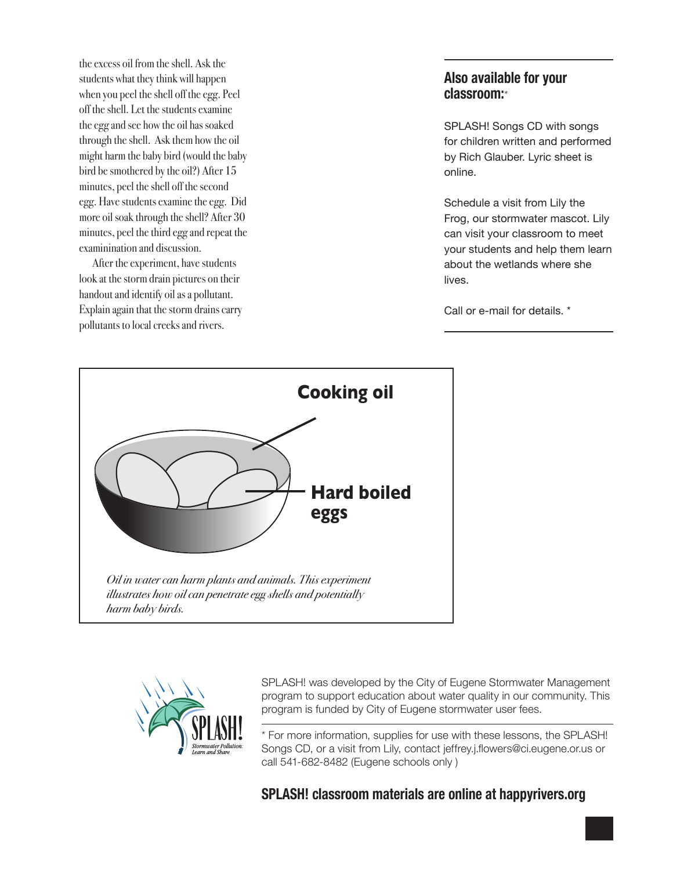the excess oil from the shell. Ask the students what they think will happen when you peel the shell off the egg. Peel off the shell. Let the students examine the egg and see how the oil has soaked through the shell. Ask them how the oil might harm the baby bird (would the baby bird be smothered by the oil?) After 15 minutes, peel the shell off the second egg. Have students examine the egg. Did more oil soak through the shell? After 30 minutes, peel the third egg and repeat the examinination and discussion.

After the experiment, have students look at the storm drain pictures on their handout and identify oil as a pollutant. Explain again that the storm drains carry pollutants to local creeks and rivers.

## **Also available for your classroom:**\*

SPLASH! Songs CD with songs for children written and performed by Rich Glauber. Lyric sheet is online.

Schedule a visit from Lily the Frog, our stormwater mascot. Lily can visit your classroom to meet your students and help them learn about the wetlands where she lives.

Call or e-mail for details. \*





SPLASH! was developed by the City of Eugene Stormwater Management program to support education about water quality in our community. This program is funded by City of Eugene stormwater user fees.

\* For more information, supplies for use with these lessons, the SPLASH! Songs CD, or a visit from Lily, contact jeffrey.j.flowers@ci.eugene.or.us or call 541-682-8482 (Eugene schools only )

**SPLASH! classroom materials are online at happyrivers.org**